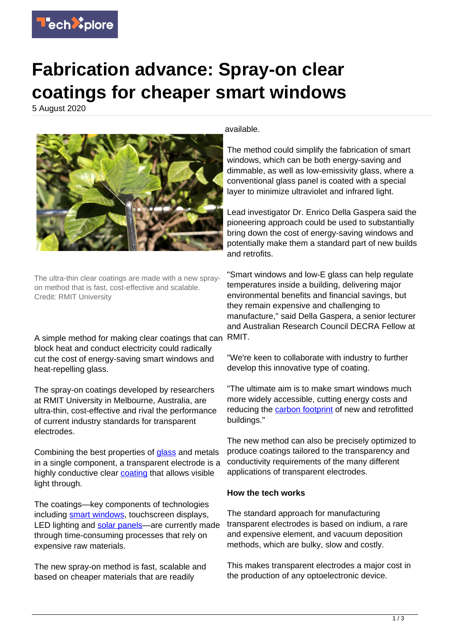

## **Fabrication advance: Spray-on clear coatings for cheaper smart windows**

5 August 2020



The ultra-thin clear coatings are made with a new sprayon method that is fast, cost-effective and scalable. Credit: RMIT University

A simple method for making clear coatings that can RMIT. block heat and conduct electricity could radically cut the cost of energy-saving smart windows and heat-repelling glass.

The spray-on coatings developed by researchers at RMIT University in Melbourne, Australia, are ultra-thin, cost-effective and rival the performance of current industry standards for transparent electrodes.

Combining the best properties of **glass** and metals in a single component, a transparent electrode is a highly conductive clear [coating](https://techxplore.com/tags/coating/) that allows visible light through.

The coatings—key components of technologies including [smart windows,](https://techxplore.com/tags/smart+windows/) touchscreen displays, LED lighting and [solar panels](https://techxplore.com/tags/solar+panels/)—are currently made through time-consuming processes that rely on expensive raw materials.

The new spray-on method is fast, scalable and based on cheaper materials that are readily

available.

The method could simplify the fabrication of smart windows, which can be both energy-saving and dimmable, as well as low-emissivity glass, where a conventional glass panel is coated with a special layer to minimize ultraviolet and infrared light.

Lead investigator Dr. Enrico Della Gaspera said the pioneering approach could be used to substantially bring down the cost of energy-saving windows and potentially make them a standard part of new builds and retrofits.

"Smart windows and low-E glass can help regulate temperatures inside a building, delivering major environmental benefits and financial savings, but they remain expensive and challenging to manufacture," said Della Gaspera, a senior lecturer and Australian Research Council DECRA Fellow at

"We're keen to collaborate with industry to further develop this innovative type of coating.

"The ultimate aim is to make smart windows much more widely accessible, cutting energy costs and reducing the [carbon footprint](https://techxplore.com/tags/carbon+footprint/) of new and retrofitted buildings."

The new method can also be precisely optimized to produce coatings tailored to the transparency and conductivity requirements of the many different applications of transparent electrodes.

## **How the tech works**

The standard approach for manufacturing transparent electrodes is based on indium, a rare and expensive element, and vacuum deposition methods, which are bulky, slow and costly.

This makes transparent electrodes a major cost in the production of any optoelectronic device.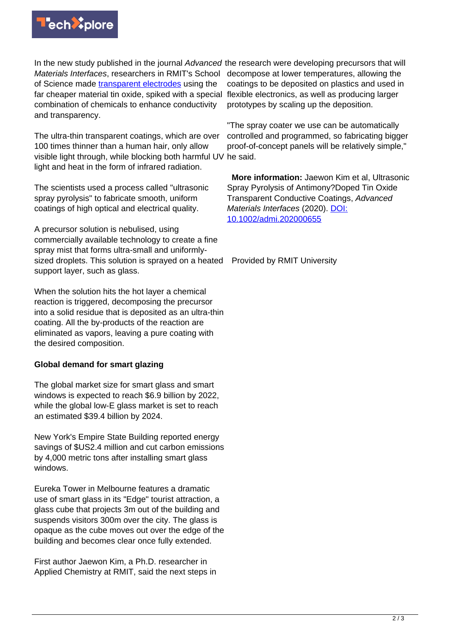

In the new study published in the journal Advanced the research were developing precursors that will Materials Interfaces, researchers in RMIT's School of Science made [transparent electrodes](https://techxplore.com/tags/transparent+electrodes/) using the far cheaper material tin oxide, spiked with a special combination of chemicals to enhance conductivity and transparency.

The ultra-thin transparent coatings, which are over 100 times thinner than a human hair, only allow visible light through, while blocking both harmful UV he said. light and heat in the form of infrared radiation.

The scientists used a process called "ultrasonic spray pyrolysis" to fabricate smooth, uniform coatings of high optical and electrical quality.

A precursor solution is nebulised, using commercially available technology to create a fine spray mist that forms ultra-small and uniformlysized droplets. This solution is sprayed on a heated support layer, such as glass.

When the solution hits the hot layer a chemical reaction is triggered, decomposing the precursor into a solid residue that is deposited as an ultra-thin coating. All the by-products of the reaction are eliminated as vapors, leaving a pure coating with the desired composition.

## **Global demand for smart glazing**

The global market size for smart glass and smart windows is expected to reach \$6.9 billion by 2022, while the global low-E glass market is set to reach an estimated \$39.4 billion by 2024.

New York's Empire State Building reported energy savings of \$US2.4 million and cut carbon emissions by 4,000 metric tons after installing smart glass windows.

Eureka Tower in Melbourne features a dramatic use of smart glass in its "Edge" tourist attraction, a glass cube that projects 3m out of the building and suspends visitors 300m over the city. The glass is opaque as the cube moves out over the edge of the building and becomes clear once fully extended.

First author Jaewon Kim, a Ph.D. researcher in Applied Chemistry at RMIT, said the next steps in decompose at lower temperatures, allowing the coatings to be deposited on plastics and used in flexible electronics, as well as producing larger prototypes by scaling up the deposition.

"The spray coater we use can be automatically controlled and programmed, so fabricating bigger proof-of-concept panels will be relatively simple,"

 **More information:** Jaewon Kim et al, Ultrasonic Spray Pyrolysis of Antimony?Doped Tin Oxide Transparent Conductive Coatings, Advanced Materials Interfaces (2020). [DOI:](http://dx.doi.org/10.1002/admi.202000655) [10.1002/admi.202000655](http://dx.doi.org/10.1002/admi.202000655)

Provided by RMIT University